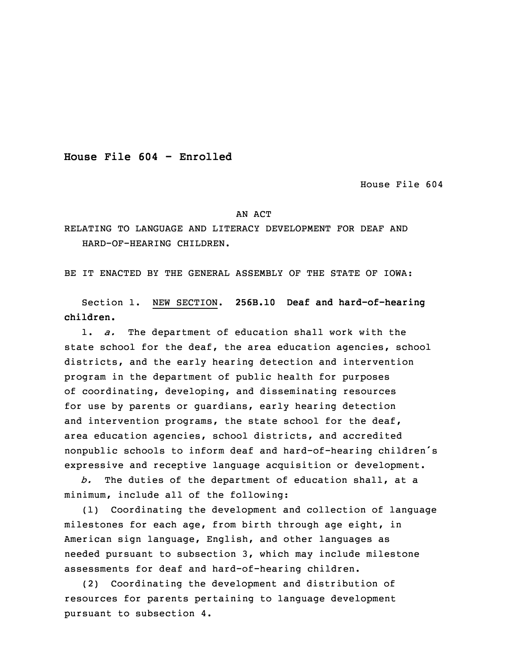**House File 604 - Enrolled**

House File 604

## AN ACT

RELATING TO LANGUAGE AND LITERACY DEVELOPMENT FOR DEAF AND HARD-OF-HEARING CHILDREN.

BE IT ENACTED BY THE GENERAL ASSEMBLY OF THE STATE OF IOWA:

 Section 1. NEW SECTION. **256B.10 Deaf and hard-of-hearing children.**

1. *a.* The department of education shall work with the state school for the deaf, the area education agencies, school districts, and the early hearing detection and intervention program in the department of public health for purposes of coordinating, developing, and disseminating resources for use by parents or guardians, early hearing detection and intervention programs, the state school for the deaf, area education agencies, school districts, and accredited nonpublic schools to inform deaf and hard-of-hearing children's expressive and receptive language acquisition or development.

b. The duties of the department of education shall, at a minimum, include all of the following:

(1) Coordinating the development and collection of language milestones for each age, from birth through age eight, in American sign language, English, and other languages as needed pursuant to subsection 3, which may include milestone assessments for deaf and hard-of-hearing children.

20 (2) Coordinating the development and distribution of resources for parents pertaining to language development pursuant to subsection 4.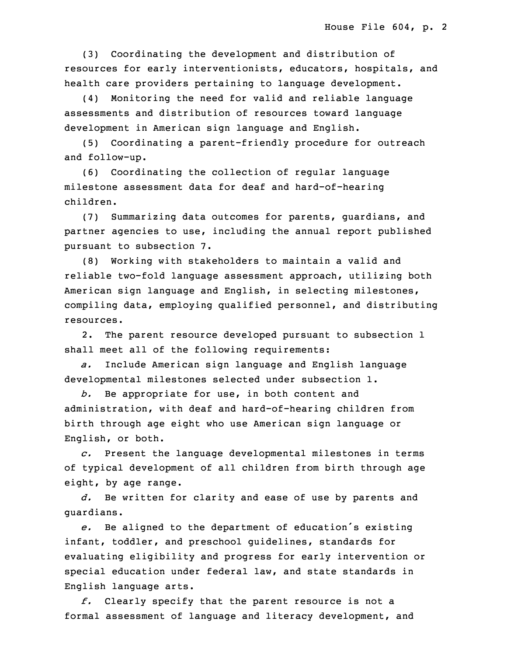(3) Coordinating the development and distribution of resources for early interventionists, educators, hospitals, and health care providers pertaining to language development.

(4) Monitoring the need for valid and reliable language assessments and distribution of resources toward language development in American sign language and English.

(5) Coordinating a parent-friendly procedure for outreach and follow-up.

(6) Coordinating the collection of regular language milestone assessment data for deaf and hard-of-hearing children.

(7) Summarizing data outcomes for parents, quardians, and partner agencies to use, including the annual report published pursuant to subsection 7.

 (8) Working with stakeholders to maintain <sup>a</sup> valid and reliable two-fold language assessment approach, utilizing both American sign language and English, in selecting milestones, compiling data, employing qualified personnel, and distributing 6 resources.

2. The parent resource developed pursuant to subsection 1 shall meet all of the following requirements:

9 *a.* Include American sign language and English language developmental milestones selected under subsection 1.

 *b.* Be appropriate for use, in both content and administration, with deaf and hard-of-hearing children from birth through age eight who use American sign language or English, or both.

15 *c.* Present the language developmental milestones in terms of typical development of all children from birth through age eight, by age range.

d. Be written for clarity and ease of use by parents and quardians.

e. Be aligned to the department of education's existing infant, toddler, and preschool guidelines, standards for evaluating eligibility and progress for early intervention or special education under federal law, and state standards in English language arts.

25 *f.* Clearly specify that the parent resource is not <sup>a</sup> formal assessment of language and literacy development, and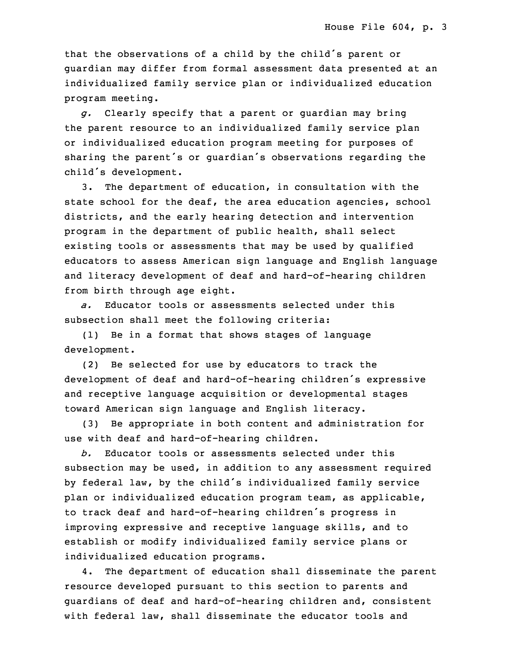that the observations of a child by the child's parent or quardian may differ from formal assessment data presented at an individualized family service plan or individualized education program meeting.

31 *g.* Clearly specify that <sup>a</sup> parent or guardian may bring the parent resource to an individualized family service plan or individualized education program meeting for purposes of sharing the parent's or quardian's observations regarding the child's development.

 3. The department of education, in consultation with the state school for the deaf, the area education agencies, school districts, and the early hearing detection and intervention program in the department of public health, shall select existing tools or assessments that may be used by qualified educators to assess American sign language and English language and literacy development of deaf and hard-of-hearing children from birth through age eight.

a. Educator tools or assessments selected under this subsection shall meet the following criteria:

 (1) Be in <sup>a</sup> format that shows stages of language development.

13 (2) Be selected for use by educators to track the development of deaf and hard-of-hearing children's expressive and receptive language acquisition or developmental stages toward American sign language and English literacy.

(3) Be appropriate in both content and administration for use with deaf and hard-of-hearing children.

19 *b.* Educator tools or assessments selected under this subsection may be used, in addition to any assessment required by federal law, by the child's individualized family service plan or individualized education program team, as applicable, to track deaf and hard-of-hearing children's progress in improving expressive and receptive language skills, and to establish or modify individualized family service plans or individualized education programs.

4. The department of education shall disseminate the parent resource developed pursuant to this section to parents and guardians of deaf and hard-of-hearing children and, consistent with federal law, shall disseminate the educator tools and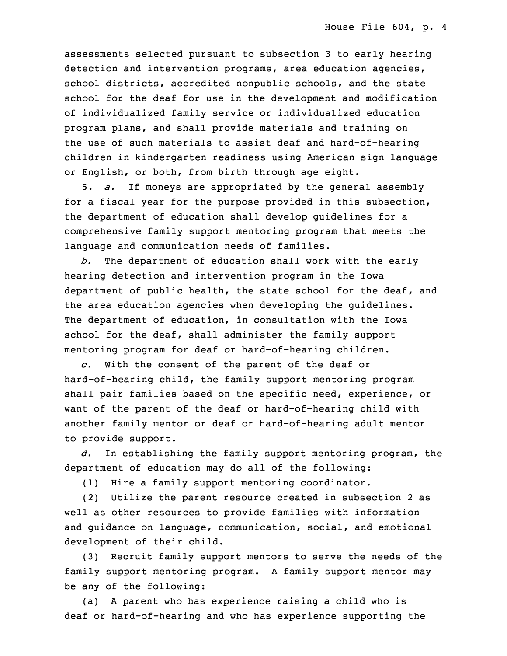assessments selected pursuant to subsection 3 to early hearing detection and intervention programs, area education agencies, school districts, accredited nonpublic schools, and the state school for the deaf for use in the development and modification 35 of individualized family service or individualized education program plans, and shall provide materials and training on the use of such materials to assist deaf and hard-of-hearing 3 children in kindergarten readiness using American sign language or English, or both, from birth through age eight.

5 5. *a.* If moneys are appropriated by the general assembly for a fiscal year for the purpose provided in this subsection, the department of education shall develop quidelines for a comprehensive family support mentoring program that meets the language and communication needs of families.

b. The department of education shall work with the early hearing detection and intervention program in the Iowa department of public health, the state school for the deaf, and the area education agencies when developing the guidelines. The department of education, in consultation with the Iowa school for the deaf, shall administer the family support mentoring program for deaf or hard-of-hearing children.

c. With the consent of the parent of the deaf or hard-of-hearing child, the family support mentoring program shall pair families based on the specific need, experience, or want of the parent of the deaf or hard-of-hearing child with another family mentor or deaf or hard-of-hearing adult mentor to provide support.

23 *d.* In establishing the family support mentoring program, the department of education may do all of the following:

(1) Hire a family support mentoring coordinator.

(2) Utilize the parent resource created in subsection 2 as well as other resources to provide families with information and guidance on language, communication, social, and emotional development of their child.

(3) Recruit family support mentors to serve the needs of the family support mentoring program. A family support mentor may be any of the following:

(a) A parent who has experience raising a child who is deaf or hard-of-hearing and who has experience supporting the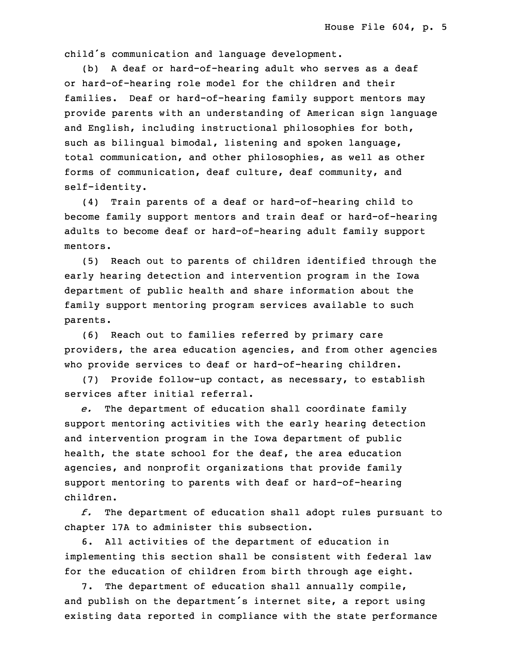child's communication and language development.

 (b) <sup>A</sup> deaf or hard-of-hearing adult who serves as <sup>a</sup> deaf or hard-of-hearing role model for the children and their families. Deaf or hard-of-hearing family support mentors may provide parents with an understanding of American sign language and English, including instructional philosophies for both, such as bilingual bimodal, listening and spoken language, total communication, and other philosophies, as well as other forms of communication, deaf culture, deaf community, and self-identity.

10 (4) Train parents of <sup>a</sup> deaf or hard-of-hearing child to become family support mentors and train deaf or hard-of-hearing adults to become deaf or hard-of-hearing adult family support mentors.

 (5) Reach out to parents of children identified through the early hearing detection and intervention program in the Iowa department of public health and share information about the family support mentoring program services available to such parents.

19 (6) Reach out to families referred by primary care providers, the area education agencies, and from other agencies who provide services to deaf or hard-of-hearing children.

 (7) Provide follow-up contact, as necessary, to establish services after initial referral.

 *e.* The department of education shall coordinate family support mentoring activities with the early hearing detection and intervention program in the Iowa department of public health, the state school for the deaf, the area education agencies, and nonprofit organizations that provide family support mentoring to parents with deaf or hard-of-hearing children.

31 *f.* The department of education shall adopt rules pursuant to chapter 17A to administer this subsection.

6. All activities of the department of education in implementing this section shall be consistent with federal law for the education of children from birth through age eight.

7. The department of education shall annually compile, and publish on the department's internet site, a report using existing data reported in compliance with the state performance